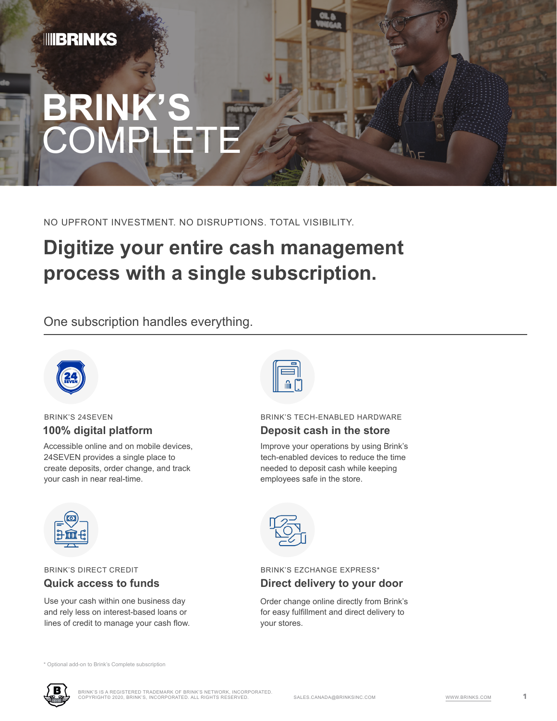# **BRINK'S COMPLETE**

NO UPFRONT INVESTMENT. NO DISRUPTIONS. TOTAL VISIBILITY.

## **Digitize your entire cash management process with a single subscription.**

One subscription handles everything.



#### BRINK'S 24SEVEN **100% digital platform**

Accessible online and on mobile devices, 24SEVEN provides a single place to create deposits, order change, and track your cash in near real-time.



BRINK'S DIRECT CREDIT **Quick access to funds**

Use your cash within one business day and rely less on interest-based loans or lines of credit to manage your cash flow.



#### BRINK'S TECH-ENABLED HARDWARE **Deposit cash in the store**

Improve your operations by using Brink's tech-enabled devices to reduce the time needed to deposit cash while keeping employees safe in the store.



#### BRINK'S EZCHANGE EXPRESS\* **Direct delivery to your door**

Order change online directly from Brink's for easy fulfillment and direct delivery to your stores.

\* Optional add-on to Brink's Complete subscription